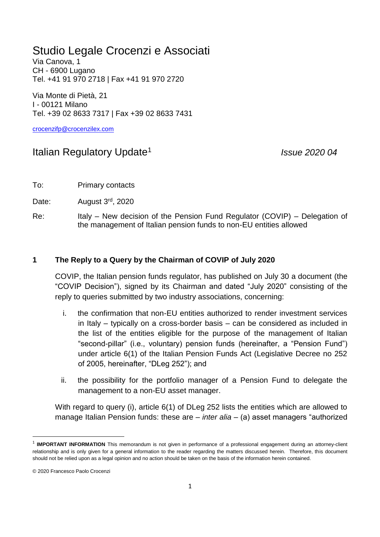## Studio Legale Crocenzi e Associati

Via Canova, 1 CH - 6900 Lugano Tel. +41 91 970 2718 | Fax +41 91 970 2720

Via Monte di Pietà, 21 I - 00121 Milano Tel. +39 02 8633 7317 | Fax +39 02 8633 7431

[crocenzifp@crocenzilex.com](mailto:crocenzifp@crocenzilex.com)

## Italian Regulatory Update<sup>1</sup>

*Issue 2020 04*

To: Primary contacts

Date: August 3<sup>rd</sup>, 2020

Re: Italy – New decision of the Pension Fund Regulator (COVIP) – Delegation of the management of Italian pension funds to non-EU entities allowed

## **1 The Reply to a Query by the Chairman of COVIP of July 2020**

COVIP, the Italian pension funds regulator, has published on July 30 a document (the "COVIP Decision"), signed by its Chairman and dated "July 2020" consisting of the reply to queries submitted by two industry associations, concerning:

- i. the confirmation that non-EU entities authorized to render investment services in Italy – typically on a cross-border basis – can be considered as included in the list of the entities eligible for the purpose of the management of Italian "second-pillar" (i.e., voluntary) pension funds (hereinafter, a "Pension Fund") under article 6(1) of the Italian Pension Funds Act (Legislative Decree no 252 of 2005, hereinafter, "DLeg 252"); and
- ii. the possibility for the portfolio manager of a Pension Fund to delegate the management to a non-EU asset manager.

With regard to query (i), article 6(1) of DLeg 252 lists the entities which are allowed to manage Italian Pension funds: these are – *inter alia* – (a) asset managers "authorized

**.** 

<sup>&</sup>lt;sup>1</sup> IMPORTANT INFORMATION This memorandum is not given in performance of a professional engagement during an attorney-client relationship and is only given for a general information to the reader regarding the matters discussed herein. Therefore, this document should not be relied upon as a legal opinion and no action should be taken on the basis of the information herein contained.

<sup>© 2020</sup> Francesco Paolo Crocenzi